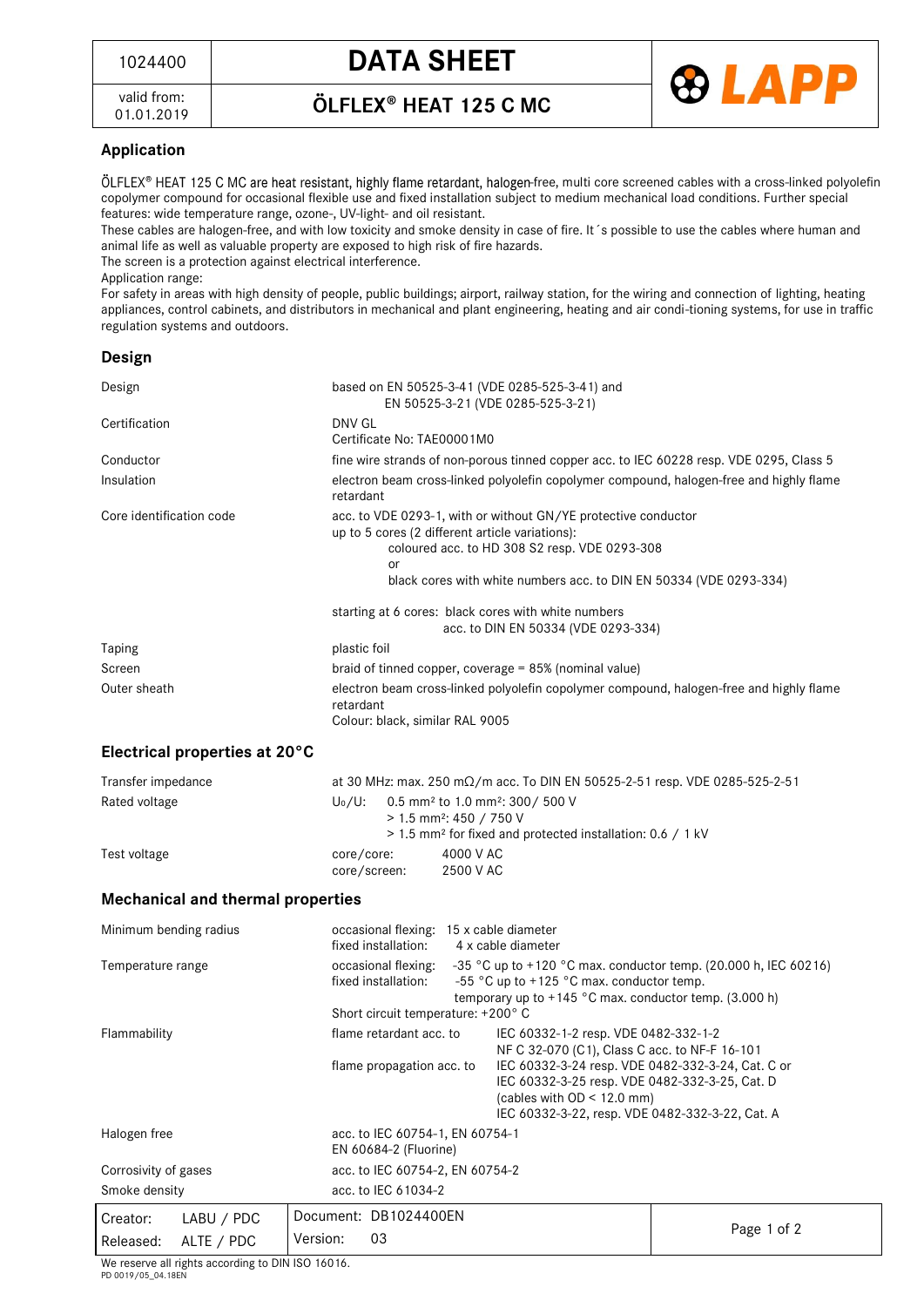<sup>1024400</sup> **DATA SHEET**



valid from: 01.01.2019 ÖLFLEX<sup>®</sup> HEAT 125 C MC

## **Application**

ÖLFLEX® HEAT 125 C MC are heat resistant, highly flame retardant, halogen-free, multi core screened cables with a cross-linked polyolefin copolymer compound for occasional flexible use and fixed installation subject to medium mechanical load conditions. Further special features: wide temperature range, ozone-, UV-light- and oil resistant.

These cables are halogen-free, and with low toxicity and smoke density in case of fire. It´s possible to use the cables where human and animal life as well as valuable property are exposed to high risk of fire hazards.

The screen is a protection against electrical interference.

Application range:

For safety in areas with high density of people, public buildings; airport, railway station, for the wiring and connection of lighting, heating appliances, control cabinets, and distributors in mechanical and plant engineering, heating and air condi-tioning systems, for use in traffic regulation systems and outdoors.

| Design                                   |                                                     |                                                                                                                                                                                                                                          |             |  |
|------------------------------------------|-----------------------------------------------------|------------------------------------------------------------------------------------------------------------------------------------------------------------------------------------------------------------------------------------------|-------------|--|
| Design                                   |                                                     | based on EN 50525-3-41 (VDE 0285-525-3-41) and<br>EN 50525-3-21 (VDE 0285-525-3-21)                                                                                                                                                      |             |  |
| Certification                            | DNV GL                                              | Certificate No: TAE00001M0                                                                                                                                                                                                               |             |  |
| Conductor                                |                                                     | fine wire strands of non-porous tinned copper acc. to IEC 60228 resp. VDE 0295, Class 5                                                                                                                                                  |             |  |
| Insulation                               | retardant                                           | electron beam cross-linked polyolefin copolymer compound, halogen-free and highly flame                                                                                                                                                  |             |  |
| Core identification code                 | or                                                  | acc. to VDE 0293-1, with or without GN/YE protective conductor<br>up to 5 cores (2 different article variations):<br>coloured acc. to HD 308 S2 resp. VDE 0293-308<br>black cores with white numbers acc. to DIN EN 50334 (VDE 0293-334) |             |  |
|                                          | starting at 6 cores: black cores with white numbers | acc. to DIN EN 50334 (VDE 0293-334)                                                                                                                                                                                                      |             |  |
| Taping                                   | plastic foil                                        |                                                                                                                                                                                                                                          |             |  |
| Screen                                   |                                                     | braid of tinned copper, coverage = 85% (nominal value)                                                                                                                                                                                   |             |  |
| Outer sheath                             | retardant                                           | electron beam cross-linked polyolefin copolymer compound, halogen-free and highly flame<br>Colour: black, similar RAL 9005                                                                                                               |             |  |
| Electrical properties at 20°C            |                                                     |                                                                                                                                                                                                                                          |             |  |
| Transfer impedance                       |                                                     | at 30 MHz: max. 250 m $\Omega$ /m acc. To DIN EN 50525-2-51 resp. VDE 0285-525-2-51                                                                                                                                                      |             |  |
| Rated voltage                            | $U_0/U$ :                                           | 0.5 mm <sup>2</sup> to 1.0 mm <sup>2</sup> : 300/ 500 V<br>$> 1.5$ mm <sup>2</sup> : 450 / 750 V<br>> 1.5 mm <sup>2</sup> for fixed and protected installation: 0.6 / 1 kV                                                               |             |  |
| Test voltage                             | core/core:<br>core/screen:                          | 4000 V AC<br>2500 V AC                                                                                                                                                                                                                   |             |  |
| <b>Mechanical and thermal properties</b> |                                                     |                                                                                                                                                                                                                                          |             |  |
| Minimum bending radius                   | fixed installation:                                 | occasional flexing: 15 x cable diameter<br>4 x cable diameter                                                                                                                                                                            |             |  |
| Temperature range                        | occasional flexing:<br>fixed installation:          | -35 °C up to +120 °C max. conductor temp. (20.000 h, IEC 60216)<br>-55 °C up to +125 °C max. conductor temp.<br>temporary up to +145 °C max. conductor temp. (3.000 h)                                                                   |             |  |
|                                          | Short circuit temperature: +200°C                   |                                                                                                                                                                                                                                          |             |  |
| Flammability                             | flame retardant acc. to                             | IEC 60332-1-2 resp. VDE 0482-332-1-2<br>NF C 32-070 (C1), Class C acc. to NF-F 16-101                                                                                                                                                    |             |  |
|                                          | flame propagation acc. to                           | IEC 60332-3-24 resp. VDE 0482-332-3-24, Cat. C or<br>IEC 60332-3-25 resp. VDE 0482-332-3-25, Cat. D<br>(cables with $OD < 12.0$ mm)<br>IEC 60332-3-22, resp. VDE 0482-332-3-22, Cat. A                                                   |             |  |
| Halogen free                             | EN 60684-2 (Fluorine)                               | acc. to IEC 60754-1, EN 60754-1                                                                                                                                                                                                          |             |  |
| Corrosivity of gases                     |                                                     | acc. to IEC 60754-2, EN 60754-2                                                                                                                                                                                                          |             |  |
| Smoke density                            | acc. to IEC 61034-2                                 |                                                                                                                                                                                                                                          |             |  |
| Creator:<br>LABU / PDC                   | Document: DB1024400EN                               |                                                                                                                                                                                                                                          |             |  |
| ALTE / PDC<br>Released:                  | Version:<br>03                                      |                                                                                                                                                                                                                                          | Page 1 of 2 |  |